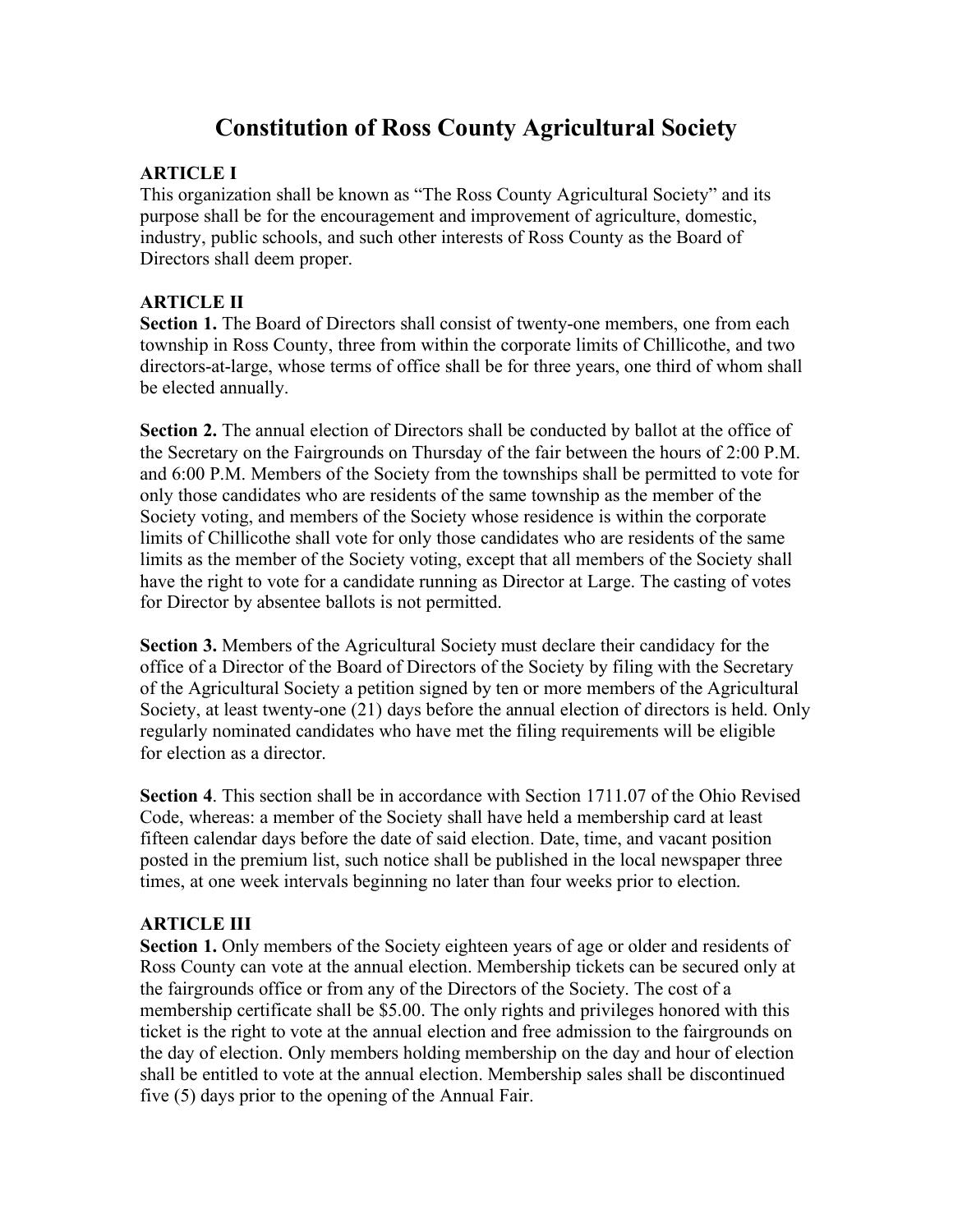# **Constitution of Ross County Agricultural Society**

#### **ARTICLE I**

This organization shall be known as "The Ross County Agricultural Society" and its purpose shall be for the encouragement and improvement of agriculture, domestic, industry, public schools, and such other interests of Ross County as the Board of Directors shall deem proper.

#### **ARTICLE II**

**Section 1.** The Board of Directors shall consist of twenty-one members, one from each township in Ross County, three from within the corporate limits of Chillicothe, and two directors-at-large, whose terms of office shall be for three years, one third of whom shall be elected annually.

**Section 2.** The annual election of Directors shall be conducted by ballot at the office of the Secretary on the Fairgrounds on Thursday of the fair between the hours of 2:00 P.M. and 6:00 P.M. Members of the Society from the townships shall be permitted to vote for only those candidates who are residents of the same township as the member of the Society voting, and members of the Society whose residence is within the corporate limits of Chillicothe shall vote for only those candidates who are residents of the same limits as the member of the Society voting, except that all members of the Society shall have the right to vote for a candidate running as Director at Large. The casting of votes for Director by absentee ballots is not permitted.

**Section 3.** Members of the Agricultural Society must declare their candidacy for the office of a Director of the Board of Directors of the Society by filing with the Secretary of the Agricultural Society a petition signed by ten or more members of the Agricultural Society, at least twenty-one (21) days before the annual election of directors is held. Only regularly nominated candidates who have met the filing requirements will be eligible for election as a director.

**Section 4**. This section shall be in accordance with Section 1711.07 of the Ohio Revised Code, whereas: a member of the Society shall have held a membership card at least fifteen calendar days before the date of said election. Date, time, and vacant position posted in the premium list, such notice shall be published in the local newspaper three times, at one week intervals beginning no later than four weeks prior to election.

#### **ARTICLE III**

**Section 1.** Only members of the Society eighteen years of age or older and residents of Ross County can vote at the annual election. Membership tickets can be secured only at the fairgrounds office or from any of the Directors of the Society. The cost of a membership certificate shall be \$5.00. The only rights and privileges honored with this ticket is the right to vote at the annual election and free admission to the fairgrounds on the day of election. Only members holding membership on the day and hour of election shall be entitled to vote at the annual election. Membership sales shall be discontinued five (5) days prior to the opening of the Annual Fair.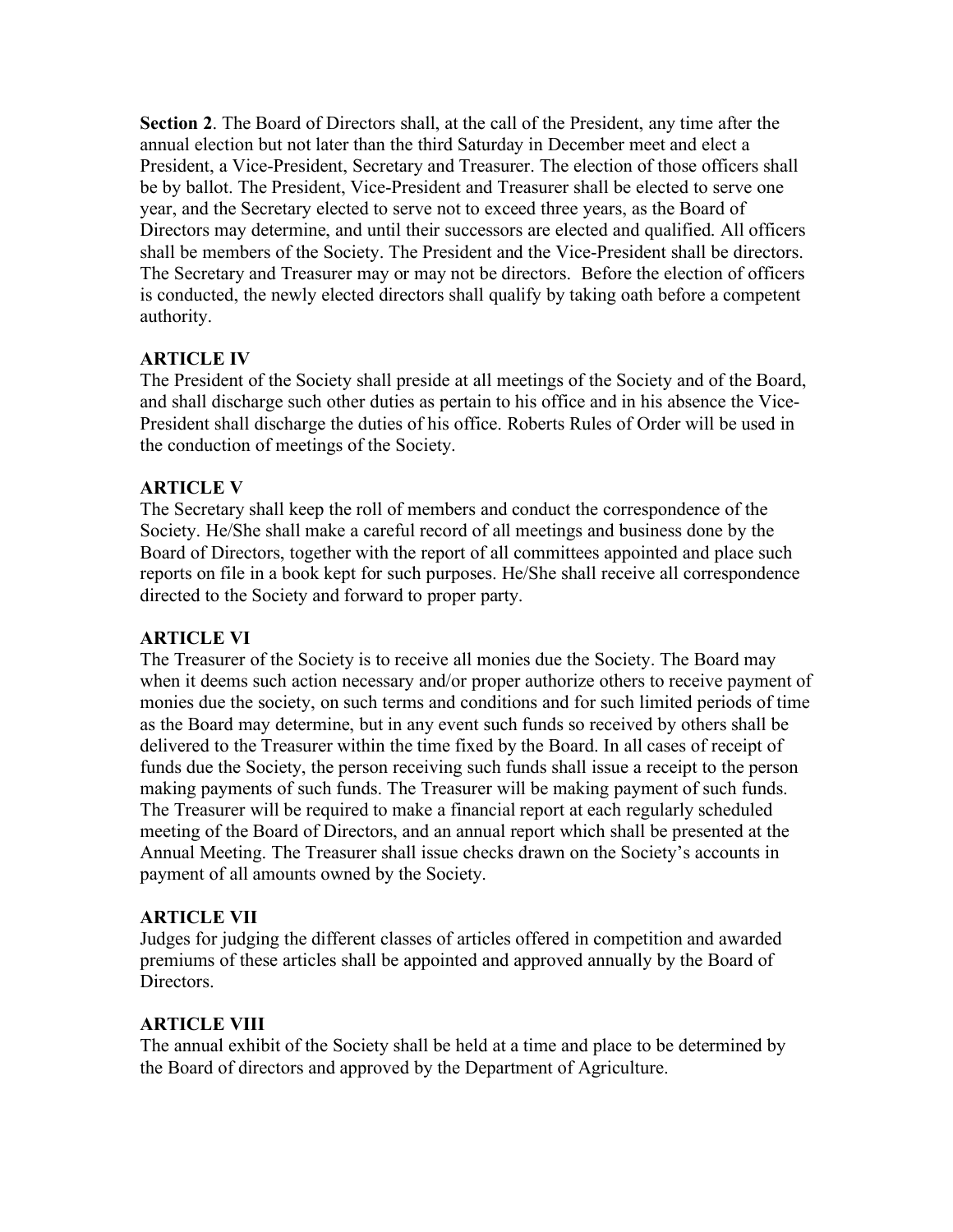**Section 2**. The Board of Directors shall, at the call of the President, any time after the annual election but not later than the third Saturday in December meet and elect a President, a Vice-President, Secretary and Treasurer. The election of those officers shall be by ballot. The President, Vice-President and Treasurer shall be elected to serve one year, and the Secretary elected to serve not to exceed three years, as the Board of Directors may determine, and until their successors are elected and qualified. All officers shall be members of the Society. The President and the Vice-President shall be directors. The Secretary and Treasurer may or may not be directors. Before the election of officers is conducted, the newly elected directors shall qualify by taking oath before a competent authority.

#### **ARTICLE IV**

The President of the Society shall preside at all meetings of the Society and of the Board, and shall discharge such other duties as pertain to his office and in his absence the Vice-President shall discharge the duties of his office. Roberts Rules of Order will be used in the conduction of meetings of the Society.

### **ARTICLE V**

The Secretary shall keep the roll of members and conduct the correspondence of the Society. He/She shall make a careful record of all meetings and business done by the Board of Directors, together with the report of all committees appointed and place such reports on file in a book kept for such purposes. He/She shall receive all correspondence directed to the Society and forward to proper party.

#### **ARTICLE VI**

The Treasurer of the Society is to receive all monies due the Society. The Board may when it deems such action necessary and/or proper authorize others to receive payment of monies due the society, on such terms and conditions and for such limited periods of time as the Board may determine, but in any event such funds so received by others shall be delivered to the Treasurer within the time fixed by the Board. In all cases of receipt of funds due the Society, the person receiving such funds shall issue a receipt to the person making payments of such funds. The Treasurer will be making payment of such funds. The Treasurer will be required to make a financial report at each regularly scheduled meeting of the Board of Directors, and an annual report which shall be presented at the Annual Meeting. The Treasurer shall issue checks drawn on the Society's accounts in payment of all amounts owned by the Society.

#### **ARTICLE VII**

Judges for judging the different classes of articles offered in competition and awarded premiums of these articles shall be appointed and approved annually by the Board of Directors.

#### **ARTICLE VIII**

The annual exhibit of the Society shall be held at a time and place to be determined by the Board of directors and approved by the Department of Agriculture.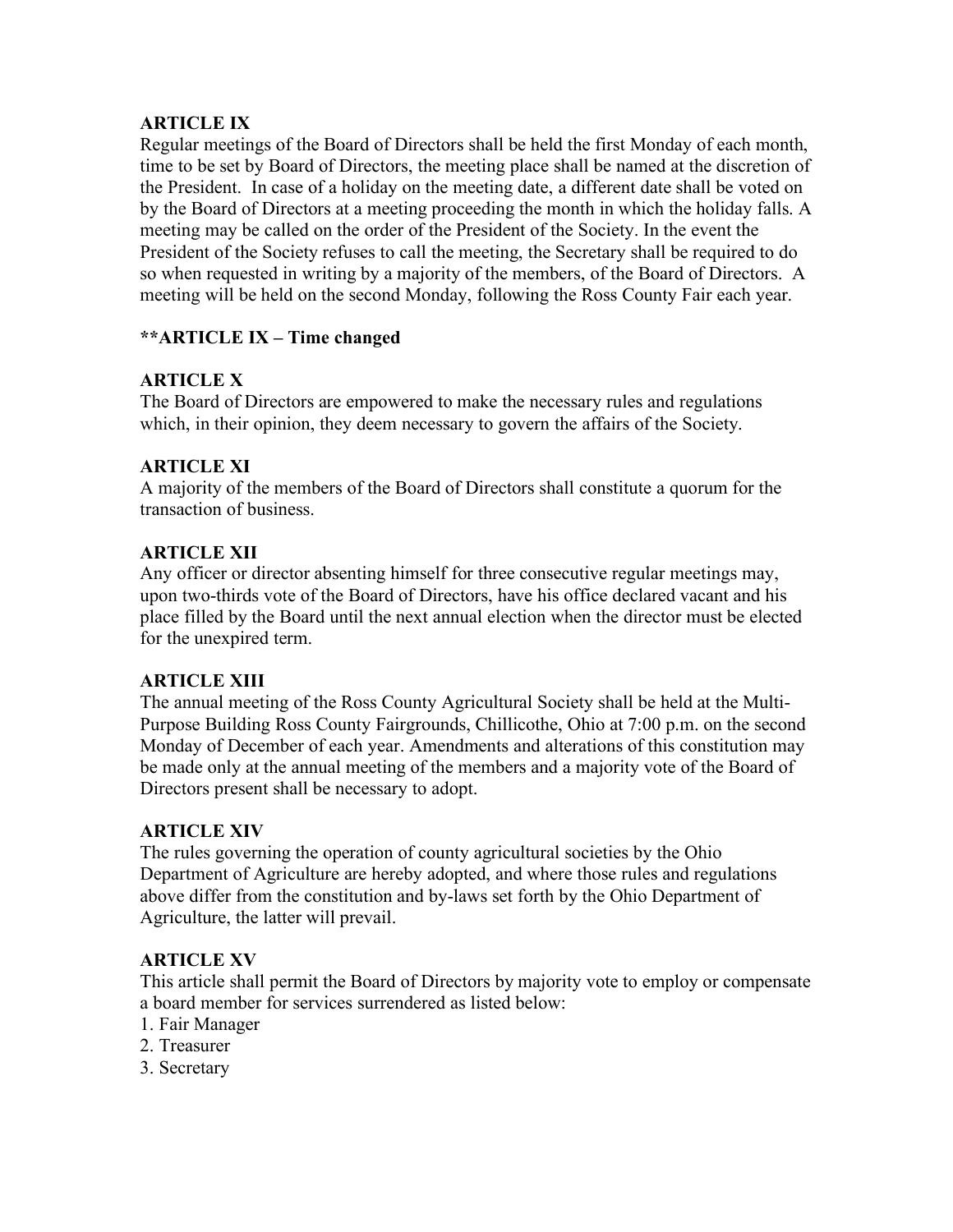#### **ARTICLE IX**

Regular meetings of the Board of Directors shall be held the first Monday of each month, time to be set by Board of Directors, the meeting place shall be named at the discretion of the President. In case of a holiday on the meeting date, a different date shall be voted on by the Board of Directors at a meeting proceeding the month in which the holiday falls. A meeting may be called on the order of the President of the Society. In the event the President of the Society refuses to call the meeting, the Secretary shall be required to do so when requested in writing by a majority of the members, of the Board of Directors. A meeting will be held on the second Monday, following the Ross County Fair each year.

#### **\*\*ARTICLE IX – Time changed**

### **ARTICLE X**

The Board of Directors are empowered to make the necessary rules and regulations which, in their opinion, they deem necessary to govern the affairs of the Society.

#### **ARTICLE XI**

A majority of the members of the Board of Directors shall constitute a quorum for the transaction of business.

### **ARTICLE XII**

Any officer or director absenting himself for three consecutive regular meetings may, upon two-thirds vote of the Board of Directors, have his office declared vacant and his place filled by the Board until the next annual election when the director must be elected for the unexpired term.

#### **ARTICLE XIII**

The annual meeting of the Ross County Agricultural Society shall be held at the Multi-Purpose Building Ross County Fairgrounds, Chillicothe, Ohio at 7:00 p.m. on the second Monday of December of each year. Amendments and alterations of this constitution may be made only at the annual meeting of the members and a majority vote of the Board of Directors present shall be necessary to adopt.

#### **ARTICLE XIV**

The rules governing the operation of county agricultural societies by the Ohio Department of Agriculture are hereby adopted, and where those rules and regulations above differ from the constitution and by-laws set forth by the Ohio Department of Agriculture, the latter will prevail.

### **ARTICLE XV**

This article shall permit the Board of Directors by majority vote to employ or compensate a board member for services surrendered as listed below:

- 1. Fair Manager
- 2. Treasurer
- 3. Secretary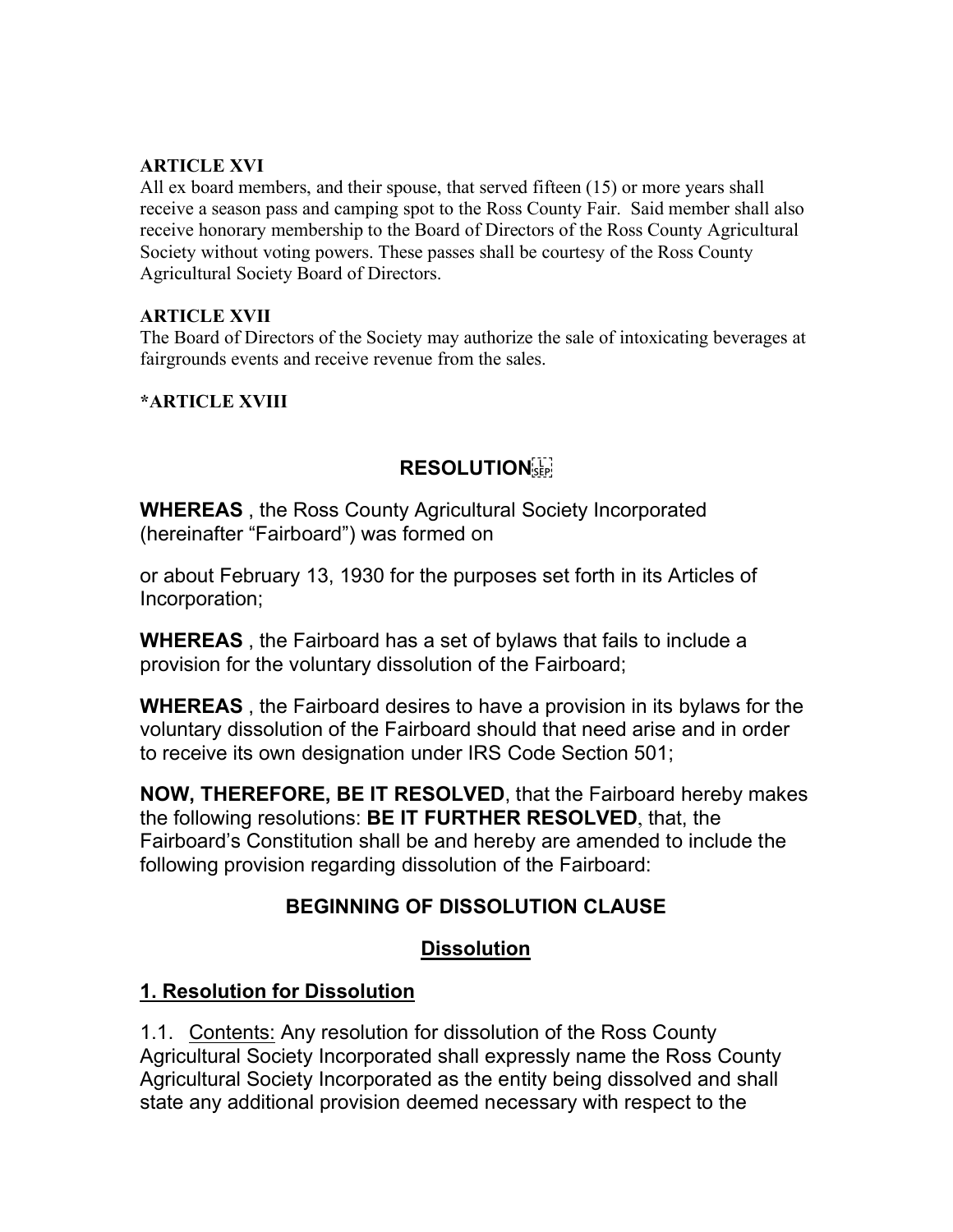#### **ARTICLE XVI**

All ex board members, and their spouse, that served fifteen (15) or more years shall receive a season pass and camping spot to the Ross County Fair. Said member shall also receive honorary membership to the Board of Directors of the Ross County Agricultural Society without voting powers. These passes shall be courtesy of the Ross County Agricultural Society Board of Directors.

#### **ARTICLE XVII**

The Board of Directors of the Society may authorize the sale of intoxicating beverages at fairgrounds events and receive revenue from the sales.

**\*ARTICLE XVIII**

### **RESOLUTION**

**WHEREAS** , the Ross County Agricultural Society Incorporated (hereinafter "Fairboard") was formed on

or about February 13, 1930 for the purposes set forth in its Articles of Incorporation;

**WHEREAS** , the Fairboard has a set of bylaws that fails to include a provision for the voluntary dissolution of the Fairboard;

**WHEREAS** , the Fairboard desires to have a provision in its bylaws for the voluntary dissolution of the Fairboard should that need arise and in order to receive its own designation under IRS Code Section 501;

**NOW, THEREFORE, BE IT RESOLVED**, that the Fairboard hereby makes the following resolutions: **BE IT FURTHER RESOLVED**, that, the Fairboard's Constitution shall be and hereby are amended to include the following provision regarding dissolution of the Fairboard:

# **BEGINNING OF DISSOLUTION CLAUSE**

# **Dissolution**

### **1. Resolution for Dissolution**

1.1. Contents: Any resolution for dissolution of the Ross County Agricultural Society Incorporated shall expressly name the Ross County Agricultural Society Incorporated as the entity being dissolved and shall state any additional provision deemed necessary with respect to the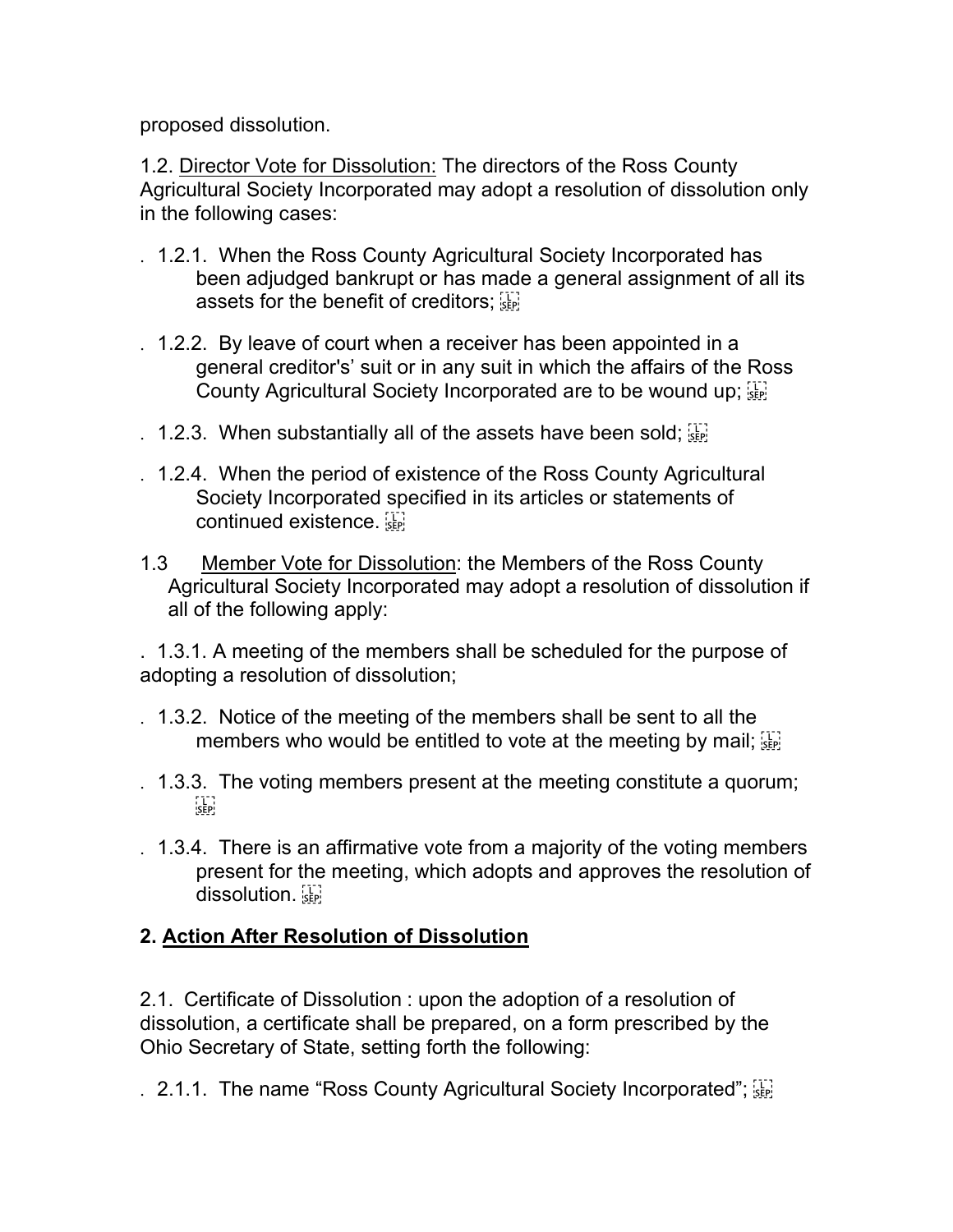proposed dissolution.

1.2. Director Vote for Dissolution: The directors of the Ross County Agricultural Society Incorporated may adopt a resolution of dissolution only in the following cases:

- . 1.2.1. When the Ross County Agricultural Society Incorporated has been adjudged bankrupt or has made a general assignment of all its assets for the benefit of creditors; see
- . 1.2.2. By leave of court when a receiver has been appointed in a general creditor's' suit or in any suit in which the affairs of the Ross County Agricultural Society Incorporated are to be wound up;  $\left[\frac{1}{2} \right]$
- . 1.2.3. When substantially all of the assets have been sold;  $\overline{\mathbb{S}^1_{\mathbb{R}^1}}$
- . 1.2.4. When the period of existence of the Ross County Agricultural Society Incorporated specified in its articles or statements of continued existence.
- 1.3 Member Vote for Dissolution: the Members of the Ross County Agricultural Society Incorporated may adopt a resolution of dissolution if all of the following apply:

. 1.3.1. A meeting of the members shall be scheduled for the purpose of adopting a resolution of dissolution;

- . 1.3.2. Notice of the meeting of the members shall be sent to all the members who would be entitled to vote at the meeting by mail;  $\mathbb{E}$
- . 1.3.3. The voting members present at the meeting constitute a quorum;  $SEP$
- . 1.3.4. There is an affirmative vote from a majority of the voting members present for the meeting, which adopts and approves the resolution of dissolution.

# **2. Action After Resolution of Dissolution**

2.1. Certificate of Dissolution : upon the adoption of a resolution of dissolution, a certificate shall be prepared, on a form prescribed by the Ohio Secretary of State, setting forth the following:

. 2.1.1. The name "Ross County Agricultural Society Incorporated";  $\frac{17}{15}$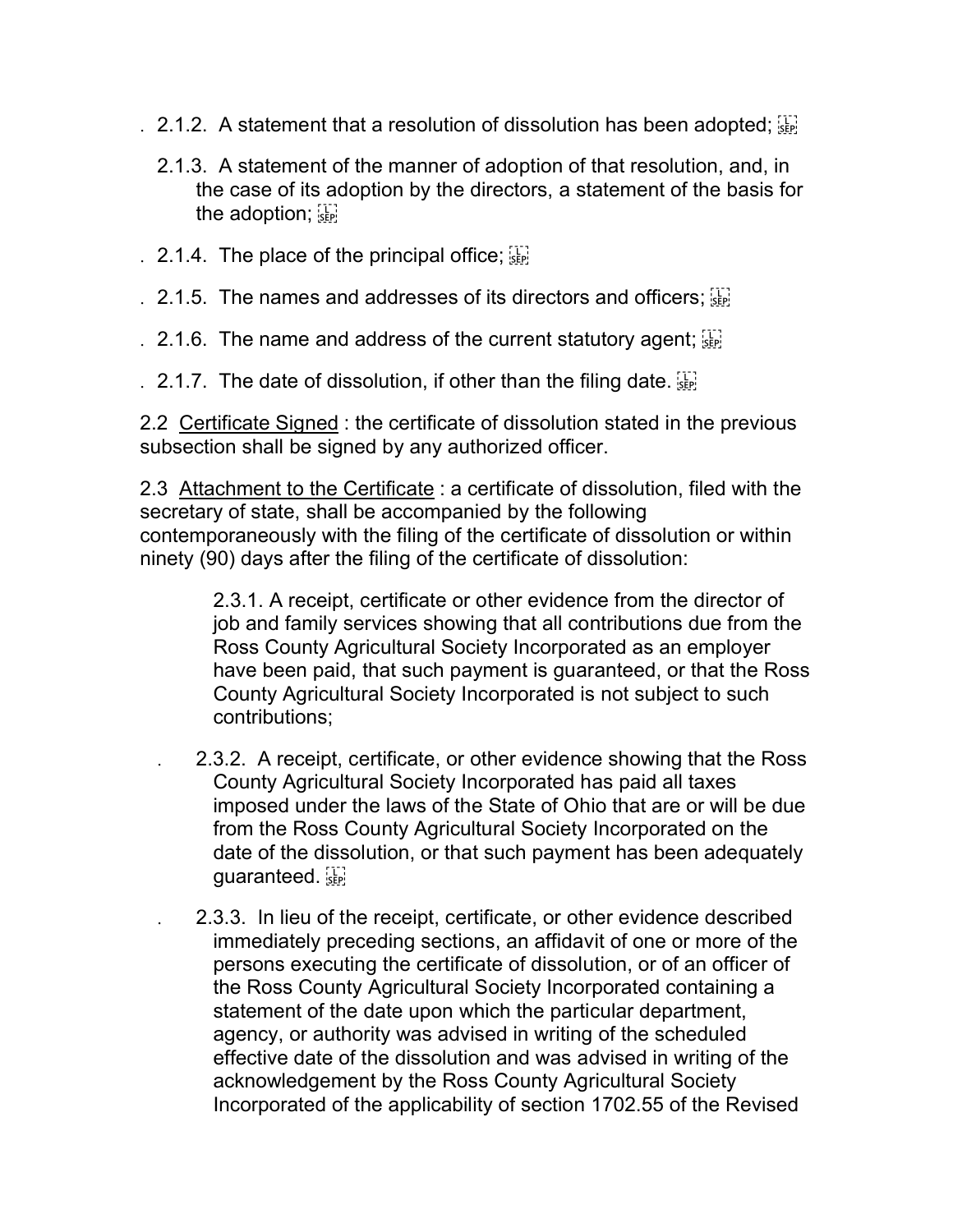- . 2.1.2. A statement that a resolution of dissolution has been adopted;  $\frac{1}{2}$ 
	- 2.1.3. A statement of the manner of adoption of that resolution, and, in the case of its adoption by the directors, a statement of the basis for the adoption;  $\frac{1}{15}$
- . 2.1.4. The place of the principal office;  $\frac{1}{25}$
- . 2.1.5. The names and addresses of its directors and officers;  $\frac{1}{35}$
- . 2.1.6. The name and address of the current statutory agent;  $\frac{1}{15}$
- . 2.1.7. The date of dissolution, if other than the filing date.  $\frac{1}{15}$

2.2 Certificate Signed : the certificate of dissolution stated in the previous subsection shall be signed by any authorized officer.

2.3 Attachment to the Certificate : a certificate of dissolution, filed with the secretary of state, shall be accompanied by the following contemporaneously with the filing of the certificate of dissolution or within ninety (90) days after the filing of the certificate of dissolution:

> 2.3.1. A receipt, certificate or other evidence from the director of job and family services showing that all contributions due from the Ross County Agricultural Society Incorporated as an employer have been paid, that such payment is guaranteed, or that the Ross County Agricultural Society Incorporated is not subject to such contributions;

- . 2.3.2. A receipt, certificate, or other evidence showing that the Ross County Agricultural Society Incorporated has paid all taxes imposed under the laws of the State of Ohio that are or will be due from the Ross County Agricultural Society Incorporated on the date of the dissolution, or that such payment has been adequately guaranteed.
- . 2.3.3. In lieu of the receipt, certificate, or other evidence described immediately preceding sections, an affidavit of one or more of the persons executing the certificate of dissolution, or of an officer of the Ross County Agricultural Society Incorporated containing a statement of the date upon which the particular department, agency, or authority was advised in writing of the scheduled effective date of the dissolution and was advised in writing of the acknowledgement by the Ross County Agricultural Society Incorporated of the applicability of section 1702.55 of the Revised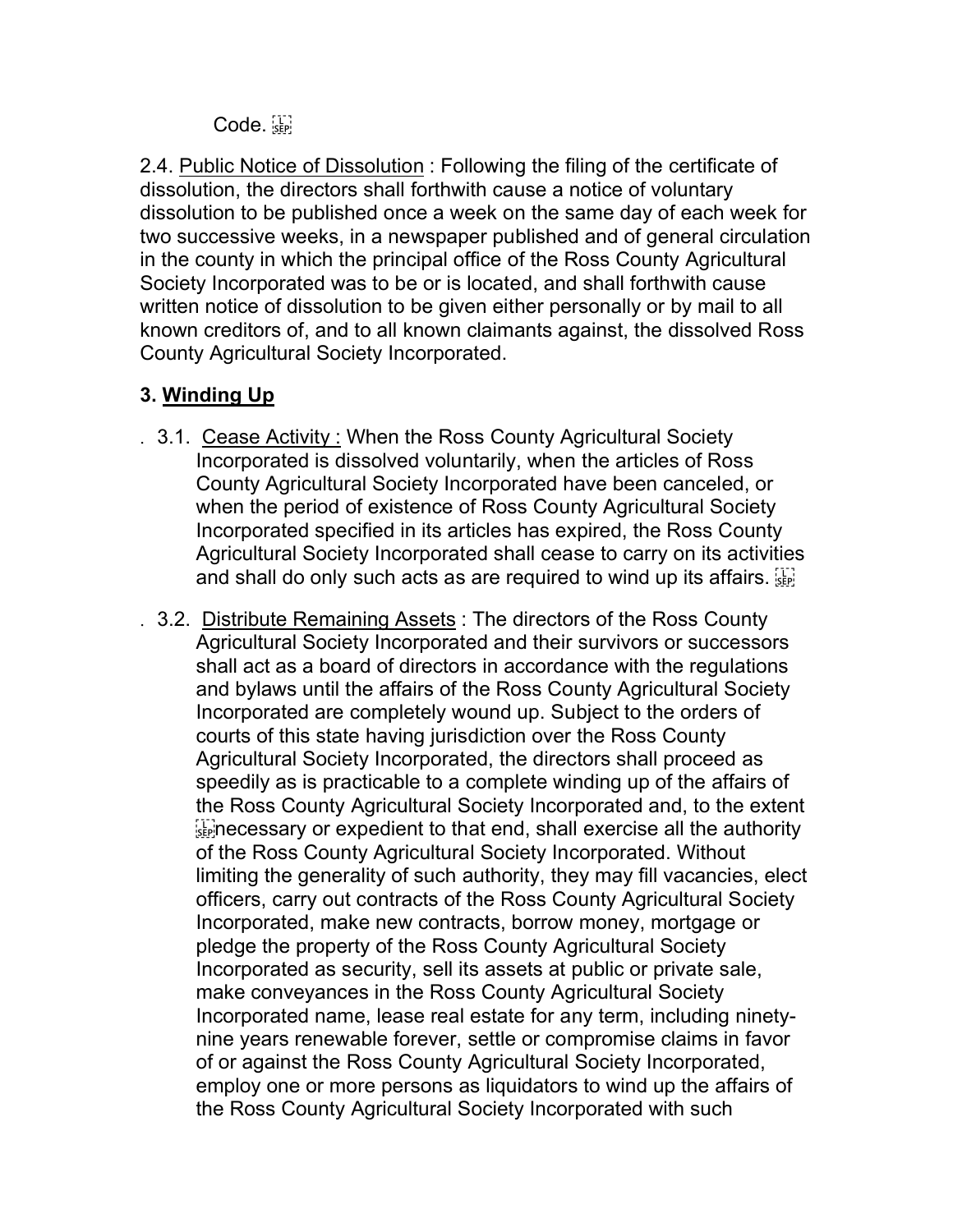Code.

2.4. Public Notice of Dissolution : Following the filing of the certificate of dissolution, the directors shall forthwith cause a notice of voluntary dissolution to be published once a week on the same day of each week for two successive weeks, in a newspaper published and of general circulation in the county in which the principal office of the Ross County Agricultural Society Incorporated was to be or is located, and shall forthwith cause written notice of dissolution to be given either personally or by mail to all known creditors of, and to all known claimants against, the dissolved Ross County Agricultural Society Incorporated.

# **3. Winding Up**

- . 3.1. Cease Activity : When the Ross County Agricultural Society Incorporated is dissolved voluntarily, when the articles of Ross County Agricultural Society Incorporated have been canceled, or when the period of existence of Ross County Agricultural Society Incorporated specified in its articles has expired, the Ross County Agricultural Society Incorporated shall cease to carry on its activities and shall do only such acts as are required to wind up its affairs.
- . 3.2. Distribute Remaining Assets: The directors of the Ross County Agricultural Society Incorporated and their survivors or successors shall act as a board of directors in accordance with the regulations and bylaws until the affairs of the Ross County Agricultural Society Incorporated are completely wound up. Subject to the orders of courts of this state having jurisdiction over the Ross County Agricultural Society Incorporated, the directors shall proceed as speedily as is practicable to a complete winding up of the affairs of the Ross County Agricultural Society Incorporated and, to the extent  $\sum_{s}$  necessary or expedient to that end, shall exercise all the authority of the Ross County Agricultural Society Incorporated. Without limiting the generality of such authority, they may fill vacancies, elect officers, carry out contracts of the Ross County Agricultural Society Incorporated, make new contracts, borrow money, mortgage or pledge the property of the Ross County Agricultural Society Incorporated as security, sell its assets at public or private sale, make conveyances in the Ross County Agricultural Society Incorporated name, lease real estate for any term, including ninetynine years renewable forever, settle or compromise claims in favor of or against the Ross County Agricultural Society Incorporated, employ one or more persons as liquidators to wind up the affairs of the Ross County Agricultural Society Incorporated with such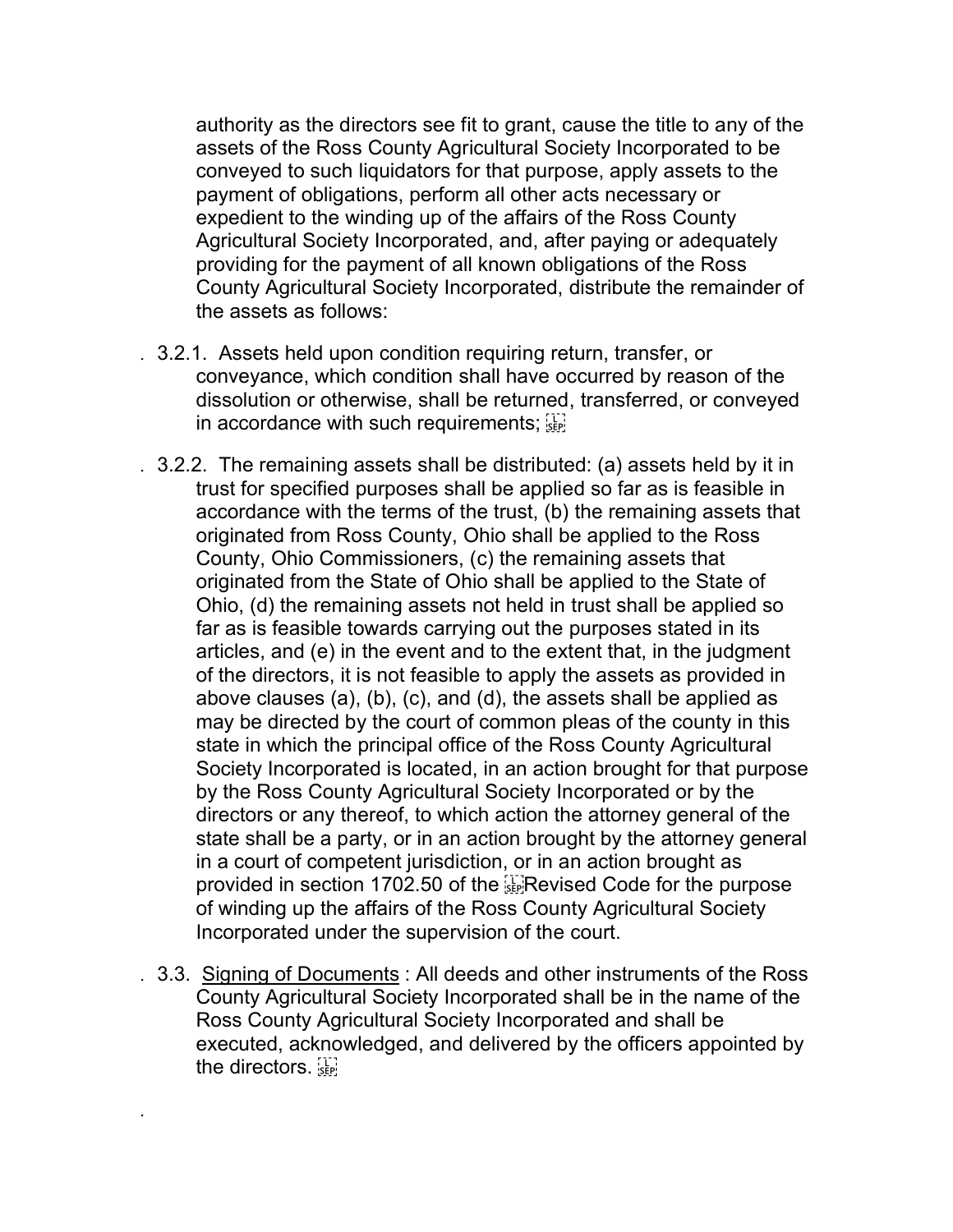authority as the directors see fit to grant, cause the title to any of the assets of the Ross County Agricultural Society Incorporated to be conveyed to such liquidators for that purpose, apply assets to the payment of obligations, perform all other acts necessary or expedient to the winding up of the affairs of the Ross County Agricultural Society Incorporated, and, after paying or adequately providing for the payment of all known obligations of the Ross County Agricultural Society Incorporated, distribute the remainder of the assets as follows:

- . 3.2.1. Assets held upon condition requiring return, transfer, or conveyance, which condition shall have occurred by reason of the dissolution or otherwise, shall be returned, transferred, or conveyed in accordance with such requirements;  $\prod_{s\in\mathbb{N}}$
- . 3.2.2. The remaining assets shall be distributed: (a) assets held by it in trust for specified purposes shall be applied so far as is feasible in accordance with the terms of the trust, (b) the remaining assets that originated from Ross County, Ohio shall be applied to the Ross County, Ohio Commissioners, (c) the remaining assets that originated from the State of Ohio shall be applied to the State of Ohio, (d) the remaining assets not held in trust shall be applied so far as is feasible towards carrying out the purposes stated in its articles, and (e) in the event and to the extent that, in the judgment of the directors, it is not feasible to apply the assets as provided in above clauses (a), (b), (c), and (d), the assets shall be applied as may be directed by the court of common pleas of the county in this state in which the principal office of the Ross County Agricultural Society Incorporated is located, in an action brought for that purpose by the Ross County Agricultural Society Incorporated or by the directors or any thereof, to which action the attorney general of the state shall be a party, or in an action brought by the attorney general in a court of competent jurisdiction, or in an action brought as provided in section 1702.50 of the **EXPRED** Code for the purpose of winding up the affairs of the Ross County Agricultural Society Incorporated under the supervision of the court.
- . 3.3. Signing of Documents : All deeds and other instruments of the Ross County Agricultural Society Incorporated shall be in the name of the Ross County Agricultural Society Incorporated and shall be executed, acknowledged, and delivered by the officers appointed by the directors.

.